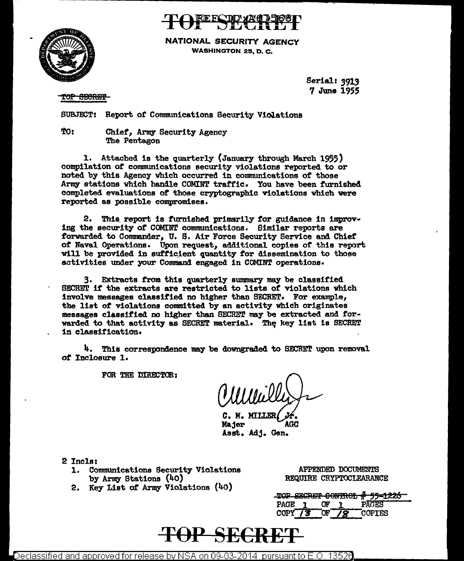



**NATIONAL SECURITY AGENCY WASHINGTON 25. D. C.** 

> Serial: 3913 7 June 1955

TOP SECRET

SUBJECT: Report of Communications Security Violations

TO: Chief, Army Security Agency The Pentagon

1. Attached is the quarterly (January through March 1955) compilation of communications security violations reported to or noted by this Agency which occurred in communications of those Army stations which handle COMINT traffic. You have been furnished completed evaluations of those cryptographic violations which were reported as possible compromises.

2. This report is furnished primarily for guidance in improving the security of COMINT communications. Similar reports are forwarded to Commander, U. S. Air Force Security Service and Chief of Naval Operations. Upon request, additional copies of this report will be provided in sufficient quantity for dissemination to those activities under your Command engaged in COMINT operations.

3. Extracts from this quarterly summary may be classified SECRET if the extracts are restricted to lists of violations which involve messages classified no higher than SECRET. For example, the list of violations committed by an activity which originates messages classified no higher than SECRET may be extracted and forwarded to that activity as SECRET material. The key list is SECRET in classification.

4. This correspondence may be downgraded to SECRET upon removal of Inclosure 1.

FOR THE DIRECTOR:

C. M. MILLER Major AGC Asst. Adj. Gen.

2 Incls:

- 1. Communications Security Violations by Army Stations (40)
- 2. Key List of Army Violations (40)

APPENDED DOCUMENTS REQUIRE CRYPTOCLEARANCE

|             |    | TOP SECRET CONTROL # 55-1226 |
|-------------|----|------------------------------|
| <b>PAGE</b> | ΩF | PAGES                        |
| <b>COPY</b> |    | <b>COPTES</b>                |

### TOP SECRE'

 $\bigtriangleup$ eclassified and approved for release by NSA on 09-03-2014  $\,$  pursuant to E.O. 13526  $\,$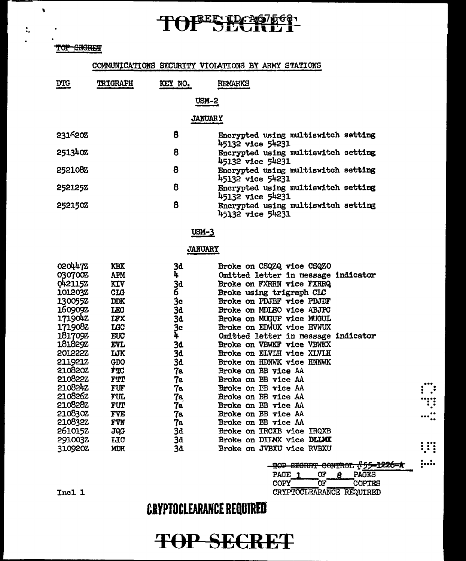### TOPES PC107666

### TOP SEGRET

 $\overline{\mathbf{3}}$ 

 $\ddot{\phantom{a}}$ 

### COMMUNICATIONS SECURITY VIOLATIONS BY ARMY STATIONS

| <b>DTG</b>                                                                                                                                                                                                                                     | <b>TRIGRAPH</b>                                                                                                                                                                                                      | KEY NO.                                                                                                                       | REMARKS                                                                                                                                                                                                                                                                                                                                                                                                                                                                                                                                                                                                                                           |  |  |  |  |
|------------------------------------------------------------------------------------------------------------------------------------------------------------------------------------------------------------------------------------------------|----------------------------------------------------------------------------------------------------------------------------------------------------------------------------------------------------------------------|-------------------------------------------------------------------------------------------------------------------------------|---------------------------------------------------------------------------------------------------------------------------------------------------------------------------------------------------------------------------------------------------------------------------------------------------------------------------------------------------------------------------------------------------------------------------------------------------------------------------------------------------------------------------------------------------------------------------------------------------------------------------------------------------|--|--|--|--|
|                                                                                                                                                                                                                                                |                                                                                                                                                                                                                      | <b>USM-2</b>                                                                                                                  |                                                                                                                                                                                                                                                                                                                                                                                                                                                                                                                                                                                                                                                   |  |  |  |  |
|                                                                                                                                                                                                                                                | <b>JANUARY</b>                                                                                                                                                                                                       |                                                                                                                               |                                                                                                                                                                                                                                                                                                                                                                                                                                                                                                                                                                                                                                                   |  |  |  |  |
| 2316202                                                                                                                                                                                                                                        |                                                                                                                                                                                                                      | 8                                                                                                                             | Encrypted using multiswitch setting<br>45132 vice 54231                                                                                                                                                                                                                                                                                                                                                                                                                                                                                                                                                                                           |  |  |  |  |
| 2513402                                                                                                                                                                                                                                        |                                                                                                                                                                                                                      | 8                                                                                                                             | Encrypted using multiswitch setting<br>45132 vice 54231                                                                                                                                                                                                                                                                                                                                                                                                                                                                                                                                                                                           |  |  |  |  |
| 2521082                                                                                                                                                                                                                                        |                                                                                                                                                                                                                      | 8                                                                                                                             | Encrypted using multiswitch setting<br>45132 vice 54231                                                                                                                                                                                                                                                                                                                                                                                                                                                                                                                                                                                           |  |  |  |  |
| <b>252125Z</b>                                                                                                                                                                                                                                 |                                                                                                                                                                                                                      | 8                                                                                                                             | Encrypted using multiswitch setting<br>45132 vice 54231                                                                                                                                                                                                                                                                                                                                                                                                                                                                                                                                                                                           |  |  |  |  |
| 2521502                                                                                                                                                                                                                                        |                                                                                                                                                                                                                      | 8                                                                                                                             | Encrypted using multiswitch setting<br>45132 vice 54231                                                                                                                                                                                                                                                                                                                                                                                                                                                                                                                                                                                           |  |  |  |  |
|                                                                                                                                                                                                                                                | $USM-3$                                                                                                                                                                                                              |                                                                                                                               |                                                                                                                                                                                                                                                                                                                                                                                                                                                                                                                                                                                                                                                   |  |  |  |  |
|                                                                                                                                                                                                                                                |                                                                                                                                                                                                                      | <b>JANUARY</b>                                                                                                                |                                                                                                                                                                                                                                                                                                                                                                                                                                                                                                                                                                                                                                                   |  |  |  |  |
| 0204472<br>030700Z<br>0421152<br>101203Z<br>1300552<br>1609092<br>171904Z<br>1719082<br>1817092<br>181829Z<br>2012222<br>211921Z<br>210820Z<br>210822Z<br>2108242<br>2108262<br>210828Z<br>210830Z<br>210832Z<br>2610152<br>291003Z<br>310920Z | КBX<br>APM<br>KIV<br><b>CLG</b><br><b>DDK</b><br>LEC<br><b>IFX</b><br>LGC<br>EUC<br><b>EVL</b><br>ШK<br>GDO<br>FTC<br>FTT<br>FUF<br>FUL<br><b>FUT</b><br><b>FVE</b><br><b>FVN</b><br><b>JQG</b><br>LIC<br><b>MDH</b> | 3đ<br>4<br>3d<br>6<br>Зc<br>3d<br>3d<br>3c<br>4<br>3d<br>3d<br>3d<br>7e<br>7a<br>7a<br>7a<br>7а<br>7а<br>7a<br>3d<br>3d<br>3d | Broke on CSQZQ vice CSQZO<br>Omitted letter in message indicator<br>Broke on FXRRN vice FXRRQ<br>Broke using trigraph CLC<br>Broke on PDJBF vice PDJDF<br>Broke on MDLEO vice ABJPC<br>Broke on MUGUP vice MUGUL<br>Broke on EDWUX vice EVWUX<br>Omitted letter in message indicator<br>Broke on VBWKF vice VBWKX<br>Broke on ELVLH vice XLVLH<br>Broke on HDNWK vice HNNWK<br>Broke on BB vice AA<br>Broke on BB vice AA<br><b>Broke on BE vice AA</b><br>Broke on BB vice AA<br>Broke on BB vice AA<br>Broke on BB vice AA<br><b>Broke on BB vice AA</b><br>Broke on IRCXB vice IRQXB<br>Broke on DILMX vice DLLMX<br>Broke on JVBXU vice RVBXU |  |  |  |  |

|      | TOP SECRET CONTROL #55-1226-A |               |  |
|------|-------------------------------|---------------|--|
| PAGE | ገዞ                            | PAGES         |  |
| COPY | w                             | <b>COPTES</b> |  |
|      | CRYPTOCLEARANCE REQUIRED      |               |  |

 $\vdots$ W  $\cdots$  :

W

 $;...$ 

### **CRYPTOCLEARANCE REQUIRED**

Incl 1

### **TOP SECRET**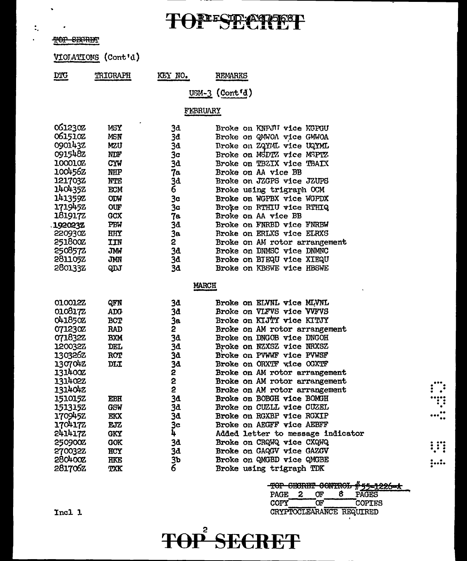### TONESE CREEP

### TOP SECRET

VIOIATIONS (Cont'd)

| <b>DTG</b> | TRIGRAPH | KEY NO. | <b>REMARKS</b>                               |
|------------|----------|---------|----------------------------------------------|
| ____       |          |         | the contract of the contract of the contract |

 $USM-3$  (Cont'd)

### FEBRUARY

 $-$ 

| 061230Z        | WSY        | 3d. | Broke on KNPJII vice KGPGU    |
|----------------|------------|-----|-------------------------------|
| 0615102        | MSN        | 3đ  | Broke on QMWOA vice GMWOA     |
| 0901432        | MZU        | 3d  | Broke on ZQYML vice UQYML     |
| 0915482        | NDF        | 3c  | Broke on MSDTZ vice MSPTZ     |
| 100010Z        | <b>CYW</b> | 3d  | Broke on TBZIX vice TBAIX     |
| 100456Z        | NHP        | 7а  | Broke on AA vice BB           |
| 1217032        | NTE        | 3đ  | Broke on JZGPS vice JZUPS     |
| 1404352        | <b>ECM</b> | 6   | Broke using trigraph OCM      |
| 1413592        | ODW        | 3c  | Broke on WGPBX vice WGPDX     |
| 1719452        | <b>OUF</b> | 3c  | Broke on RTHIU vice RTHIQ     |
| 181917Z        | <b>GCX</b> | 7а  | Broke on AA vice BB           |
| 192023Z        | PBW        | 3đ  | Broke on FNRBD vice FNRBW     |
| 220930Z        | <b>HHY</b> | 3в. | Broke on ERLXS vice ELRXS     |
| 251800Z        | IIN        | 2   | Broke on AM rotor arrangement |
| 2508572        | JMW        | 3d  | Broke on DNMSC vice DNMNC     |
| <b>281105Z</b> | JMN        | 3đ  | Broke on BJEQU vice XIEQU     |
| 280133Z        | QDJ        | 3d  | Broke on KBSWE vice HBSWE     |

#### **MARCH**

| 010012Z | QFN        | 3d             | <b>Broke on ELVNL vice MLVNL</b>  |     |
|---------|------------|----------------|-----------------------------------|-----|
| 010817Z | <b>ADG</b> | 3đ             | Broke on VLFVS vice VVFVS         |     |
| 041850Z | <b>BCT</b> | Зa             | Broke on KIJTY vice KITJY         |     |
| 071230Z | RAD        | 2              | Broke on AM rotor arrangement     |     |
| 071832Z | <b>BXM</b> | 3d             | Broke on DNGOB vice DNGOH         |     |
| 120032Z | DEL        | 3d             | Broke on NZXSZ vice NRXSZ         |     |
| 130326Z | <b>ROT</b> | 3d             | Broke on PVWWF vice PVWSF         |     |
| 1307042 | DLI        | 3d             | Broke on ORXTF wice OGXTF         |     |
| 131400Z |            | 2              | Broke on AM rotor arrangement     |     |
| 131402Z |            | 2              | Broke on AM rotor arrangement     |     |
| 1314042 |            | 2              | Broke on AM rotor arrangement     |     |
| 151015Z | EBH        | 3d             | <b>Broke on BOBGH vice BOMGH</b>  | ः   |
| 1513152 | GSW        | 3d             | Broke on CUZLL vice CUZEL         |     |
| 1709452 | EKX        | 3d             | Broke on RGXBP vice RGXIP         |     |
| 1704172 | EJZ        | 3c             | Broke on AEGFF vice AEBFF         |     |
| 2414172 | <b>GKY</b> | 4              | Added letter to message indicator |     |
| 250900Z | <b>GOK</b> | 3d             | Broke on CRQWQ vice CXQWQ         |     |
| 270032Z | HCY        | 3d             | Broke on GAQGV vice GAZGV         | !!! |
| 2804002 | HKE        | 3b             | Broke on QMGBD vice QMGBE         | ;:. |
| 281706Z | TXK        | $\overline{6}$ | Broke using trigraph TDK          |     |

|             |    |    |    | TOP CEORET CONTROL #55-1226-A |  |
|-------------|----|----|----|-------------------------------|--|
| <b>PAGE</b> | -2 | ጡ  | R. | PAGES                         |  |
| <b>COPY</b> |    | ንሞ |    | <b>COPIES</b>                 |  |
|             |    |    |    | CRYPTOCLEARANCE REQUIRED      |  |

Incl 1

# **TOP SECRET**

 $\ddot{\phantom{0}}$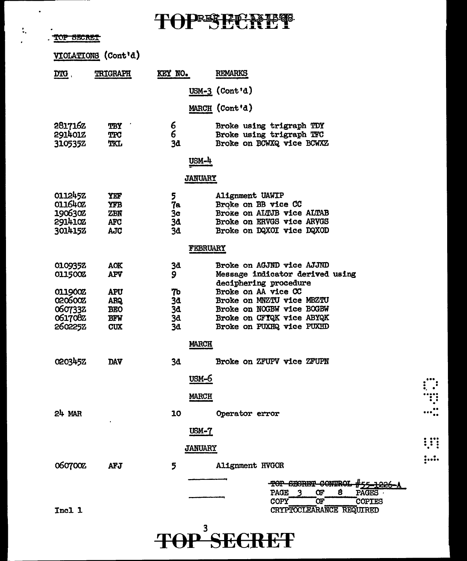**TOPESECNET** 

TOP SECRET

 $\bullet$ 

 $\frac{1}{2}$ 

|                                         | VIOLATIONS (Cont'd)      |                 |                                                          |  |
|-----------------------------------------|--------------------------|-----------------|----------------------------------------------------------|--|
| $\overline{\text{D} \text{T} \text{G}}$ | TRIGRAPH                 | KEY NO.         | <b>REMARKS</b>                                           |  |
|                                         |                          |                 | USM-3 $(Cont 1d)$                                        |  |
|                                         |                          |                 | MARCH (Cont'd)                                           |  |
| 281716Z                                 | TBY                      | 6               | Broke using trigraph TDY                                 |  |
| 2914012<br>310535Z                      | <b>TPC</b><br><b>TKL</b> | 6<br>3d         | Broke using trigraph TFC<br>Broke on BCWXQ vice BCWXZ    |  |
|                                         |                          | <u>USM-4</u>    |                                                          |  |
|                                         |                          | <b>JANUARY</b>  |                                                          |  |
| 011245Z                                 | YEF                      | 5               | Alignment UAWIP                                          |  |
| 011640Z                                 | <b>YFB</b>               | 7a              | Broke on BB vice CC                                      |  |
| 1906302                                 | ZBN                      | 3 <sub>c</sub>  | Broke on ALTJB vice ALTAB                                |  |
| 2914102                                 | <b>AFC</b>               | 3đ              | Broke on ERVGS vice ARVGS                                |  |
| 3014152                                 | AJC                      | 3d              | Broke on DQXOI vice DQXOD                                |  |
|                                         |                          | <b>FEBRUARY</b> |                                                          |  |
| 0109352                                 | <b>AOK</b>               | 3d              | Broke on AGJND vice AJJND                                |  |
| 0115002                                 | APV                      | 9               | Message indicator derived using<br>deciphering procedure |  |
| 011900Z                                 | <b>APU</b>               | 76              | Broke on AA vice CC                                      |  |
| 0206002                                 | <b>ARQ</b>               | 3d              | Broke on MNZTU vice MBZTU                                |  |
| 0607332                                 | <b>BEO</b>               | 3d              | Broke on NOGBW vice BOGBW                                |  |
| 061708Z                                 | <b>BFW</b>               | 3d              | Broke on CFTQK vice ABYQK                                |  |
| 2602252                                 | <b>CUX</b>               | 3d              | Broke on PUXHQ vice PUXHD                                |  |
|                                         |                          | <b>MARCH</b>    |                                                          |  |
| 020345Z                                 | DAV                      | 3d              | Broke on ZFUPV vice ZFUPN                                |  |
|                                         |                          | usm-6           |                                                          |  |
|                                         |                          | <u>MARCH</u>    |                                                          |  |
| $24$ MAR                                |                          | 10              | Operator error                                           |  |
|                                         |                          | USM-7           |                                                          |  |
|                                         |                          | <b>JANUARY</b>  |                                                          |  |
| 060700Z                                 | <b>AFJ</b>               | 5               | Alignment HVGOR                                          |  |
|                                         |                          |                 | <b>SECRET CONTRO</b><br>- <del>TOP</del>                 |  |
|                                         |                          |                 | PAGE<br>Œ<br>8<br><b>PAGES</b>                           |  |
|                                         |                          |                 | COPY<br>Œ.<br><b>COPIES</b>                              |  |
| Incl 1                                  |                          |                 | CRYPTOCLEARANCE REQUIRED                                 |  |
|                                         |                          |                 |                                                          |  |

**TOP SECRET**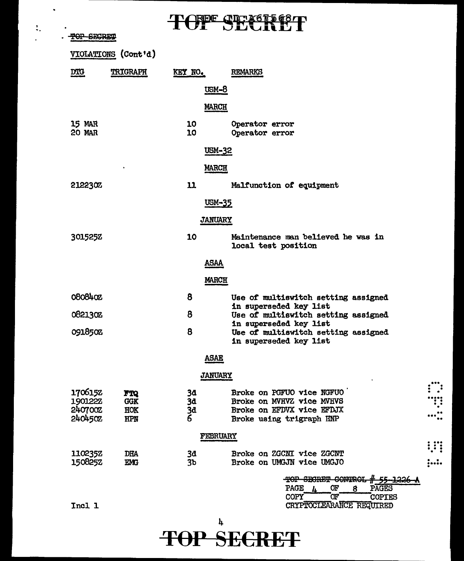# TOPE CDEX67568T

 $\ddot{\phantom{0}}$ 

 $\ddot{\ddot{}}$  .

 $\mathbf{r}$ 

| <b>SECRIM</b>      |                     |                | TAN DEATEI                                                    |  |
|--------------------|---------------------|----------------|---------------------------------------------------------------|--|
|                    | VIOLATIONS (Cont'd) |                |                                                               |  |
| <b>DTG</b>         | <b>TRIGRAPH</b>     | KEY NO.        | <b>REMARKS</b>                                                |  |
|                    |                     | <u>USM-8</u>   |                                                               |  |
|                    |                     | <b>MARCH</b>   |                                                               |  |
| <b>15 MAR</b>      |                     | 10             | Operator error                                                |  |
| <b>20 MAR</b>      |                     | 10             | Operator error                                                |  |
|                    |                     | USM-32         |                                                               |  |
|                    |                     | <b>MARCH</b>   |                                                               |  |
| 212230%            |                     | 11             | Malfunction of equipment                                      |  |
|                    |                     | USM-35         |                                                               |  |
|                    |                     | <b>JANUARY</b> |                                                               |  |
| 301525Z            |                     | 10             | Maintenance man believed he was in<br>local test position     |  |
|                    |                     | <u>ASAA</u>    |                                                               |  |
|                    |                     | <b>MARCH</b>   |                                                               |  |
| 0808402            |                     | 8              | Use of multiswitch setting assigned                           |  |
| 0821302            |                     | 8              | in superseded key list<br>Use of multiswitch setting assigned |  |
| 091850Z            |                     | 8              | in superseded key list<br>Use of multiswitch setting assigned |  |
|                    |                     |                | in superseded key list                                        |  |
|                    |                     | ASAE           |                                                               |  |
|                    |                     | <b>JANUARY</b> |                                                               |  |
| 1706152<br>1901222 | FTQ                 | 3d             | Broke on PGFUO vice NGFUO                                     |  |
| 240700Z            | <b>GGK</b><br>HOK   | 3d<br>3d       | Broke on MVHVZ vice MVHVS<br>Broke on EFDVX vice EFDJX        |  |
| 240450Z            | <b>HPN</b>          | 6              | Broke using trigraph HNP                                      |  |
|                    |                     | FEBRUARY       |                                                               |  |
| 110235Z            | <b>DHA</b>          | 3đ             | Broke on ZGCNI vice ZGCNT                                     |  |
| 150825Z            | EMG                 | 3 <sub>b</sub> | Broke on UMGJN vice UMGJO                                     |  |
|                    |                     |                | TOP SECRET CONTRO<br>PAGE<br>Œ<br><b>PAGES</b><br>8           |  |
|                    |                     |                | `œr<br>COPY<br><b>COPIES</b>                                  |  |
| Incl 1             |                     |                | CRYPTOCLEARANCE REQUIRED                                      |  |

### $\frac{1}{2}$ **TOP SECRET**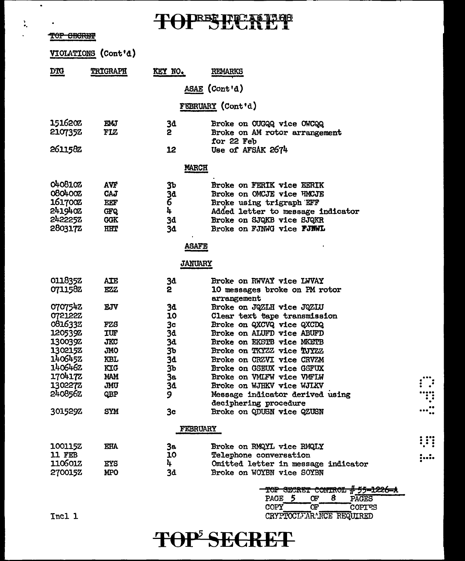TOPBE PEACHES

TOP SECRET

' ..

 $\bullet$ 

|                        | VIOLATIONS (Cont'd) |                |                                                                  |
|------------------------|---------------------|----------------|------------------------------------------------------------------|
| $\overline{\text{DR}}$ | <b>TRIGRAPH</b>     | KEY NO.        | <b>REMARKS</b>                                                   |
|                        |                     |                | ASAE (Cont'd)                                                    |
|                        |                     |                | <b>FEBRUARY</b> (Cont'd)                                         |
| 1516202                | EMJ                 | 3â             | Broke on OUGQQ vice OWCQQ                                        |
| 2107352                | FLZ                 | 2              | Broke on AM rotor arrangement                                    |
|                        |                     |                | for 22 Feb                                                       |
| 2611582                |                     | 12             | Use of AFSAK 2674                                                |
|                        |                     | <b>MARCH</b>   |                                                                  |
| 0408102                | AVF                 | 3b             | <b>Broke on FERIK vice EERIK</b>                                 |
| 080400Z                | CAJ                 | 3d             | Broke on OMCJE vice HMCJE                                        |
| 161700Z                | EEF                 | 6              | Broke using trigraph EFF                                         |
| 2419402                | <b>GFQ</b>          | 4              | Added letter to message indicator                                |
| 2422252                | <b>GGK</b>          | 3d             | Broke on SJQKB vice SJQKR                                        |
| 2803172                | HHT                 | 3d             | Broke on FJNWG vice FJNWL                                        |
|                        |                     | <b>ASAFE</b>   |                                                                  |
|                        |                     | <b>JANUARY</b> |                                                                  |
| 0118352                | AIE                 | 3đ             | Broke on RWVAY vice LWVAY                                        |
| 0711582                | EZZ                 | 2              | 10 messages broke on PM rotor                                    |
|                        |                     |                | arrangement                                                      |
| 0707542                | <b>EJV</b>          | 3d             | Broke on JQZLH vice JQZIU                                        |
| 0721222                |                     | 10             | Clear text tape transmission                                     |
| 0816332                | <b>FZS</b>          | 3 <sub>c</sub> | Broke on QXCVQ vice QXCDQ                                        |
| 120539Z                | <b>IUF</b>          | 34             | Broke on ALUFD vice ABUFD                                        |
| 1300392                | <b>JKC</b>          | 3d             | <b>Broke on EKSTB vice MKETB</b>                                 |
| 130215Z                | <b>JMO</b>          | 3b             | Broke on TKYZZ vice TJYZZ                                        |
| 1406452                | KBL                 | 3d             | Broke on CRZVI vice CRVZM                                        |
| 140646Z                | KIG                 | 3 <sub>b</sub> | Broke on GSEUX vice GSFUX                                        |
| 1704172                | <b>MAM</b>          | 3a             | Broke on VMLFW vice VMFLW                                        |
| 1302272                | JMU                 | <b>3d</b>      | <b>Broke on WJHKV vice WJLKV</b>                                 |
| 240856z                | QBP                 | 9              | Message indicator derived using                                  |
| 301529Z                | <b>SYM</b>          | 3 <sub>c</sub> | deciphering procedure<br>Broke on QDUSN vice QZUSN               |
|                        |                     | FEBRUARY       |                                                                  |
|                        |                     |                |                                                                  |
| <b>100115Z</b>         | <b>EHA</b>          | 3a             | Broke on RMQYL vice RMQLY                                        |
| 11 FEB<br>1106012      | EYS                 | 10<br>4        | Telephone conversation                                           |
| 2700152                | <b>MPO</b>          | 3d             | Omitted letter in message indicator<br>Broke on WOYBN vice SOYBN |
|                        |                     |                |                                                                  |
|                        |                     |                |                                                                  |
|                        |                     |                | PAGE 5<br>8<br>Œ<br><b>PAGES</b>                                 |

#### Incl 1

## TOP<sup>5</sup> SECRET

COPY OF COPIES CRYPTOCIFAR^NCE REQUIRED

 $\dddot{}}$  . ..... .. . . . .. ... ..

.... . . . . . . . .

 $, ...$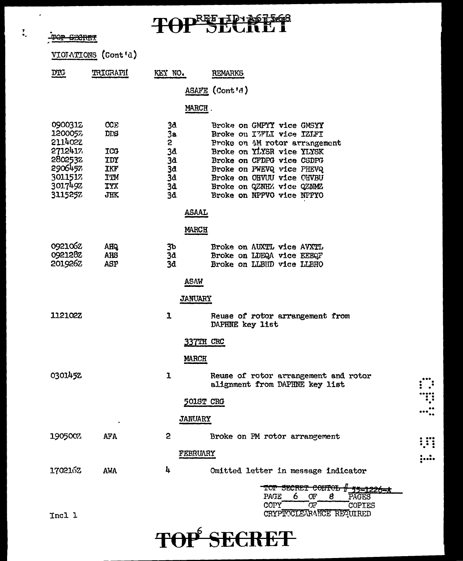TOP SECRET

 $\overline{a}$ 

 $\overline{\mathbf{r}}$ 

# TOPEETEN PEGS

|                                                                                      | VIOIATIONS (Cont'd)                                  |                                                          |                                                                                                                                                                                                                                          |  |
|--------------------------------------------------------------------------------------|------------------------------------------------------|----------------------------------------------------------|------------------------------------------------------------------------------------------------------------------------------------------------------------------------------------------------------------------------------------------|--|
| $\underline{\text{DTC}}$                                                             | TRIGRAPI                                             | KEY NO.                                                  | <b>REMARKS</b>                                                                                                                                                                                                                           |  |
|                                                                                      |                                                      |                                                          | ASAFE (Cont'd)                                                                                                                                                                                                                           |  |
|                                                                                      |                                                      | MARCH.                                                   |                                                                                                                                                                                                                                          |  |
| 0900312<br>1200057<br>211402Z<br>2712417<br>2802532<br>2906457<br>3011517<br>3017492 | CCE<br>DDS<br>ICO<br>IDY<br>IKF<br>ITM<br><b>TYX</b> | 38<br>3a<br>$\overline{c}$<br>3d<br>3d<br>3d<br>3d<br>34 | Broke on GMPYY vice GMSYY<br>Broke on I7FLI vice IZIFI<br>Proke on AM rotor arrangement<br>Broke on YLYSR vice YLYSK<br>Broke on CFDPG vice CSDPG<br>Broke on PWEVQ vice PHEVQ<br>Broke on OHVUU vice OHVBU<br>Broke on QZNHZ vice QZNMZ |  |
| 3115257                                                                              | <b>JHK</b>                                           | 3d                                                       | Broke on NPPVO vice NPPYO                                                                                                                                                                                                                |  |
|                                                                                      |                                                      | <b>ASAAL</b><br><b>MARCH</b>                             |                                                                                                                                                                                                                                          |  |
| 0921062<br>0921282<br>201926Z                                                        | <b>AHQ</b><br>AHS<br>ASP                             | 3 <sub>b</sub><br>3d<br>3d<br><b>ASAW</b>                | Broke on AUXTL vice AVXTL<br>Broke on LDEQA vice EEEQF<br>Broke on LLBHD vice LLBHO                                                                                                                                                      |  |
|                                                                                      |                                                      | <b>JANUARY</b>                                           |                                                                                                                                                                                                                                          |  |
| 1121022                                                                              |                                                      | 1                                                        | Reuse of rotor arrangement from<br>DAPHNE key list                                                                                                                                                                                       |  |
|                                                                                      |                                                      | 337TH CRC                                                |                                                                                                                                                                                                                                          |  |
|                                                                                      |                                                      | <b>MARCH</b>                                             |                                                                                                                                                                                                                                          |  |
| 0301452                                                                              |                                                      | ı                                                        | Reuse of rotor arrangement and rotor<br>alignment from DAPHNE key list                                                                                                                                                                   |  |
|                                                                                      |                                                      | <b>501ST CRG</b>                                         |                                                                                                                                                                                                                                          |  |
|                                                                                      |                                                      | <b>JANUARY</b>                                           |                                                                                                                                                                                                                                          |  |
| 1905007                                                                              | <b>AFA</b>                                           | 2                                                        | Broke on PM rotor arrangement                                                                                                                                                                                                            |  |
|                                                                                      |                                                      | FEBRUARY                                                 |                                                                                                                                                                                                                                          |  |
| 1702162                                                                              | <b>AWA</b>                                           | 4                                                        | Omitted letter in message indicator                                                                                                                                                                                                      |  |
| Incl 1                                                                               |                                                      |                                                          | <del>corre</del> n<br>TUP SECRET<br>PAGE<br>6<br>Œ<br>8<br>PAGES<br>הס<br>COPY<br><b>COPIES</b><br>CRYPTOCLEARANCE REQUIRED                                                                                                              |  |

# TOP<sup>6</sup> SECRET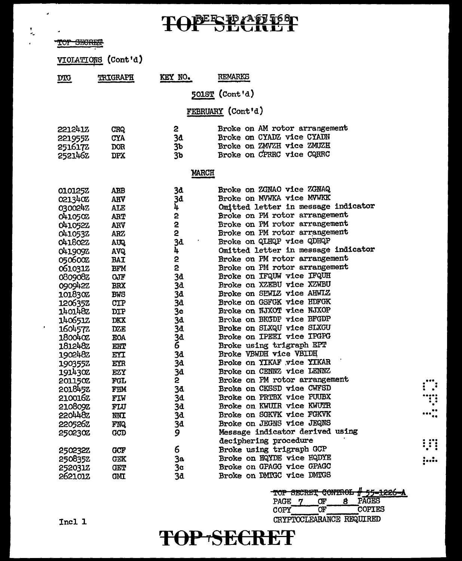TOPESPATIST

| TOI DECIDE     |                     |                         |                                     |   |
|----------------|---------------------|-------------------------|-------------------------------------|---|
|                | VIOLATIONS (Cont'd) |                         |                                     |   |
| <b>DIG</b>     | TRIGRAPH            | KEY NO.                 | <b>REMARKS</b>                      |   |
|                |                     |                         | 501ST (Cont'd)                      |   |
|                |                     |                         | FEBRUARY (Cont'd)                   |   |
|                |                     |                         |                                     |   |
| <b>221241Z</b> | CRQ                 | 2                       | Broke on AM rotor arrangement       |   |
| 221955Z        | <b>CYA</b>          | 38                      | Broke on CYADZ vice CYADN           |   |
| 2516172        | DOR                 | 3 <sub>b</sub>          | Broke on ZMVZH vice ZMUZH           |   |
| 2521462        | <b>DPX</b>          | 3 <sub>b</sub>          | Broke on CPRRC vice CQRRC           |   |
|                |                     | <b>MARCH</b>            |                                     |   |
| 0101252        | ABB                 | 3a                      | Broke on ZGNAO vice ZGNAQ           |   |
| 021340Z        | <b>AHV</b>          | 3d                      | Broke on MVWKA vice MVWKK           |   |
| 0300242        | ALE                 | 4                       | Omitted letter in message indicator |   |
| 0410502        | <b>ART</b>          | 2                       | Broke on PM rotor arrangement       |   |
| 041052Z        | ARV                 | $\overline{\mathbf{c}}$ | Broke on PM rotor arrangement       |   |
| 0410532        | <b>ARZ</b>          | 2                       | Broke on PM rotor arrangement       |   |
| <b>041802Z</b> | AUQ.                | 3d                      | Broke on QLHQP vice QDHQP           |   |
| 0419092        | AVQ.                | 4                       | Omitted letter in message indicator |   |
| 050600Z        | <b>BAT</b>          | 2                       | Broke on PM rotor arrangement       |   |
| 0610312        | <b>BFM</b>          | 2                       | Broke on PM rotor arrangement       |   |
| 080908Z        | OJF                 | 3d                      | Broke on IFQUW vice IFQUH           |   |
| 090942Z        | <b>BRX</b>          | 3d                      | Broke on XZEBU vice XZWBU           |   |
| 101830Z        | <b>BWS</b>          | 3d                      | Broke on SEWLZ vice AHWLZ           |   |
| 1206352        | CTP                 | <b>3d</b>               | Broke on GSFGK vice HDFGK           |   |
| 1401482        | <b>DIP</b>          | 3c                      | Broke on NJXOT vice NJXOP           |   |
| 140651Z        | <b>DKX</b>          | 3d                      | Broke on BKGDP vice BFGDP           |   |
| 1604572        | <b>DZE</b>          | 3d                      | Broke on SLXQU vice SLXGU           |   |
| 180040Z        | <b>EOA</b>          | <b>3d</b>               | Broke on IPEEI vice IPGPG           |   |
| 181248Z        | EHT                 | $\tilde{6}$             | Broke using trigraph EPT            |   |
| 1902482        | EYI                 | 3d                      | Broke VBWDH vice VBIDH              |   |
| 190355Z        | EYR                 | 3d                      | Broke on YIKAF vice YIKAR           |   |
| 191430Z        | EZY                 | 3d                      | Broke on CENNZ vice LENNZ           |   |
| 201150Z        | <b>FGL</b>          | 2                       | Broke on PM rotor arrangement       |   |
| 201845Z        | FHM                 | 3d                      | Broke on CKSSD vice CWFSD           |   |
| 210016Z        | FIW                 | 3d                      | Broke on PRTBX vice PUUBX           | ः |
| 210809Z        | FLU                 | 3d                      | Broke on KWUIR vice KWUIR           |   |
| <b>220448Z</b> | <b>NNT</b>          | 3d                      | Broke on SGKVK vice FGKVK           |   |
| 220526Z        | <b>FNQ</b>          | 3d                      | Broke on JEGNS vice JEQNS           |   |
| 2502302        | <b>GCD</b>          | 9                       | Message indicator derived using     |   |
|                |                     |                         | deciphering procedure               |   |
| 250232Z        | <b>GCF</b>          | 6                       | Broke using trigraph GCP            |   |
| 250835Z        | <b>GEK</b>          | 3a                      | Broke on HQYDE vice HQDYE           |   |
| 252031Z        | <b>CET</b>          | 3c                      | Broke on GPAGG vice GPAGC           |   |
| 2621012        | <b>GMT</b>          | 3d                      | Broke on DMIGC vice DMIGS           |   |

# 55-1226-A<br>PAGES TOP SECRET CONTROL PAGE 7  $\alpha$ 8  $\overline{\text{OF}}$ COPIES COPY

CRYPTOCLEARANCE REQUIRED

### Incl 1

 $\mathcal{L}_{\mathcal{A}}$ 

 $\blacksquare$ 

 $\ddot{ }$ 

**MAR CERPET** 

 $\frac{1}{2}$ 

# TOP SECRET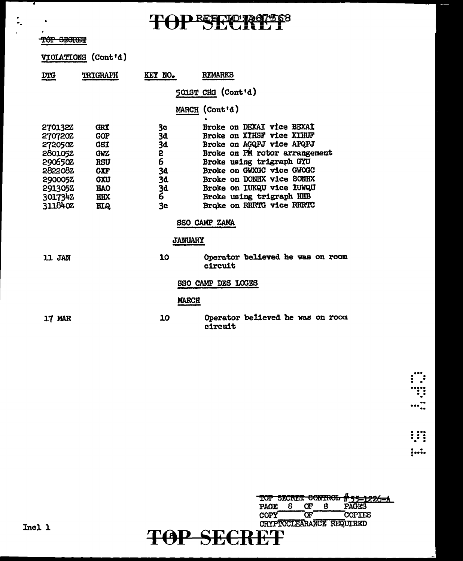### TOP SECRETS

### TOP SECRET

 $\frac{1}{\sigma_{\rm s}}$ 

VIOIATIONS (Cont'd)

| <u>DTG</u>                                                                                                               | <b>TRIGRAPH</b>                                                                                                                   | KEY NO.                                               | REMARKS                                                                                                                                                                                                                                                                                          |  |  |  |  |  |
|--------------------------------------------------------------------------------------------------------------------------|-----------------------------------------------------------------------------------------------------------------------------------|-------------------------------------------------------|--------------------------------------------------------------------------------------------------------------------------------------------------------------------------------------------------------------------------------------------------------------------------------------------------|--|--|--|--|--|
|                                                                                                                          |                                                                                                                                   |                                                       | 501ST CRG (Cont'd)                                                                                                                                                                                                                                                                               |  |  |  |  |  |
|                                                                                                                          |                                                                                                                                   |                                                       | MARCH (Cont'd)                                                                                                                                                                                                                                                                                   |  |  |  |  |  |
| <b>2701322</b><br>270720Z<br><b>272050Z</b><br>2801052<br>2906502<br>282208Z<br>290005Z<br>291305Z<br>3017342<br>311840Z | <b>GRI</b><br><b>GOP</b><br><b>GSI</b><br><b>GWZ</b><br><b>RSU</b><br><b>GXF</b><br><b>GXU</b><br><b>HAO</b><br><b>HHX</b><br>HIQ | 3c<br>3d<br>3d<br>2<br>6<br>3d<br>3d<br>3ª<br>6<br>3c | Broke on DEXAI vice BEXAI<br>Broke on XIHSF vice XIHUF<br>Broke on AGQPJ vice APQPJ<br>Broke on PM rotor arrangement<br>Broke using trigraph GYU<br>Broke on GWXGC vice GWOGC<br>Broke on DONHX vice SONHX<br>Broke on IUKQU vice IUWQU<br>Broke using trigraph HHB<br>Broke on RRRTG vice RRRTC |  |  |  |  |  |
|                                                                                                                          |                                                                                                                                   |                                                       |                                                                                                                                                                                                                                                                                                  |  |  |  |  |  |
|                                                                                                                          |                                                                                                                                   |                                                       | SSO CAMP ZAMA                                                                                                                                                                                                                                                                                    |  |  |  |  |  |
| <b>JANUARY</b>                                                                                                           |                                                                                                                                   |                                                       |                                                                                                                                                                                                                                                                                                  |  |  |  |  |  |
| <b>11 JAN</b>                                                                                                            |                                                                                                                                   | 10                                                    | Operator believed he was on room<br>circuit                                                                                                                                                                                                                                                      |  |  |  |  |  |
| SSO CAMP DES LOGES                                                                                                       |                                                                                                                                   |                                                       |                                                                                                                                                                                                                                                                                                  |  |  |  |  |  |
|                                                                                                                          |                                                                                                                                   | <b>MARCH</b>                                          |                                                                                                                                                                                                                                                                                                  |  |  |  |  |  |
| 17 MAR                                                                                                                   |                                                                                                                                   | 10                                                    | Operator believed he was on room<br>circuit                                                                                                                                                                                                                                                      |  |  |  |  |  |

|             |                          |     |  | TOP SECRET CONTROL # 55-1226-A |  |  |
|-------------|--------------------------|-----|--|--------------------------------|--|--|
| <b>PAGE</b> |                          | Œ   |  | PAGES                          |  |  |
| <b>GODA</b> |                          | יזר |  | COPTES                         |  |  |
|             | CRYPTOCLEARANCE REQUIRED |     |  |                                |  |  |
| TAD SECDET  |                          |     |  |                                |  |  |
| NI IX DI    |                          |     |  |                                |  |  |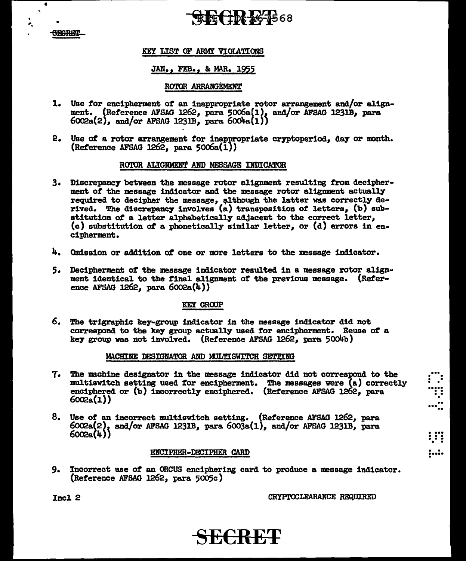#### **SBORET**

¢  $\mathbf{r}$ 

÷.

### **REGIN IG 1568**

#### KEY LIST OF ARMY VIOLATIONS

### JAN., FEB., & MAR. 1955

#### ROTOR ARRANGEMENT

- 1. Use for encipherment of an inappropriate rotor arrangement and/or alignment. (Reference AFSAG 1262, para 5006a(1), and/or AFSAG 1231B, para  $6002a(2)$ , and/or AFSAG 1231B, para  $6004a(1)$ )
- 2. Use of a rotor arrangement for inappropriate cryptoperiod, day or month.  $(Reference AFSAG 1262, para 5006a(1))$

#### ROTOR ALIGNMENT AND MESSAGE INDICATOR

- 3. Discrepancy between the message rotor alignment resulting from decipherment of the message indicator and the message rotor alignment actually required to decipher the message, although the latter was correctly derived. The discrepancy involves (a) transposition of letters, (b) substitution of a letter alphabetically adjacent to the correct letter, (c) substitution of a phonetically similar letter, or (d) errors in encipherment.
- 4. Omission or addition of one or more letters to the message indicator.
- 5. Decipherment of the message indicator resulted in a message rotor alignment identical to the final alignment of the previous message. (Reference AFSAG 1262, para  $6002a(4)$ )

#### KEY GROUP

6. The trigraphic key-group indicator in the message indicator did not correspond to the key group actually used for encipherment. Reuse of a key group was not involved. (Reference AFSAG 1262, para 5004b)

#### MACHINE DESIGNATOR AND MULTISWITCH SETTING

- 7. The machine designator in the message indicator did not correspond to the multiswitch setting used for encipherment. The messages were (a) correctly enciphered or (b) incorrectly enciphered. (Reference AFSAG 1262, para  $6002a(1)$
- 8. Use of an incorrect multiswitch setting. (Reference AFSAG 1262, para  $6002a(2)$ , and/or AFSAG 1231B, para  $6003a(1)$ , and/or AFSAG 1231B, para  $6002a(4)$

#### **ENCIPHER-DECIPHER CARD**

9. Incorrect use of an ORCUS enciphering card to produce a message indicator. (Reference AFSAG 1262, para 5005c)

CRYPTOCLEARANCE REQUIRED

 $\begin{array}{c} \begin{array}{c} \bullet \bullet \bullet \bullet \bullet \bullet \end{array} \\ \begin{array}{c} \bullet \bullet \bullet \bullet \bullet \end{array} \\ \begin{array}{c} \bullet \bullet \bullet \bullet \bullet \end{array} \\ \begin{array}{c} \bullet \bullet \bullet \bullet \bullet \end{array} \\ \begin{array}{c} \bullet \bullet \bullet \bullet \bullet \end{array} \end{array}$ 

m

 $, \ldots$ 

Incl<sub>2</sub>

### SECRET